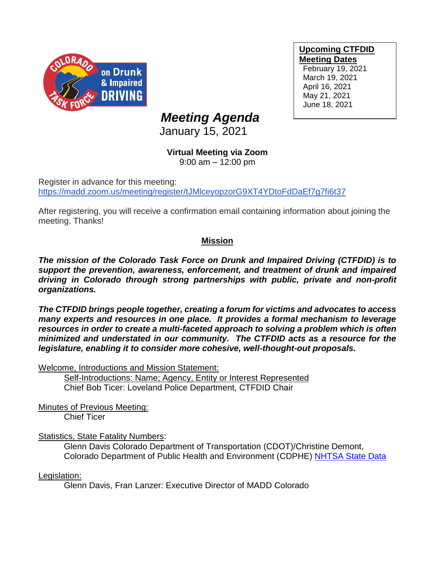

**Upcoming CTFDID Meeting Dates** February 19, 2021 March 19, 2021

April 16, 2021 May 21, 2021 June 18, 2021

# *Meeting Agenda*

January 15, 2021

# **Virtual Meeting via Zoom**

9:00 am – 12:00 pm

Register in advance for this meeting: [https://madd.zoom.us/meeting/register/tJMlceyopzorG9XT4YDtoFdDaEf7g7fi6t37](https://urldefense.com/v3/__https:/madd.zoom.us/meeting/register/tJMlceyopzorG9XT4YDtoFdDaEf7g7fi6t37__;!!PUG2raq7KiCZwBk!PQqeOv5P_2k7DDGXwR0-bl8Ql2-kOjGYHh6Y0mIgMGVtmtBW2uu8j5RiL3LQQ3zKbgYZOw$)

After registering, you will receive a confirmation email containing information about joining the meeting. Thanks!

# **Mission**

*The mission of the Colorado Task Force on Drunk and Impaired Driving (CTFDID) is to support the prevention, awareness, enforcement, and treatment of drunk and impaired driving in Colorado through strong partnerships with public, private and non-profit organizations.* 

*The CTFDID brings people together, creating a forum for victims and advocates to access many experts and resources in one place. It provides a formal mechanism to leverage*  resources in order to create a multi-faceted approach to solving a problem which is often *minimized and understated in our community. The CTFDID acts as a resource for the legislature, enabling it to consider more cohesive, well-thought-out proposals.* 

Welcome, Introductions and Mission Statement:

Self-Introductions: Name; Agency, Entity or Interest Represented Chief Bob Ticer: Loveland Police Department, CTFDID Chair

Minutes of Previous Meeting:

Chief Ticer

## Statistics, State Fatality Numbers:

Glenn Davis Colorado Department of Transportation (CDOT)/Christine Demont, Colorado Department of Public Health and Environment (CDPHE) [NHTSA State Data](https://cdan.nhtsa.gov/stsi.htm)

Legislation:

Glenn Davis, Fran Lanzer: Executive Director of MADD Colorado